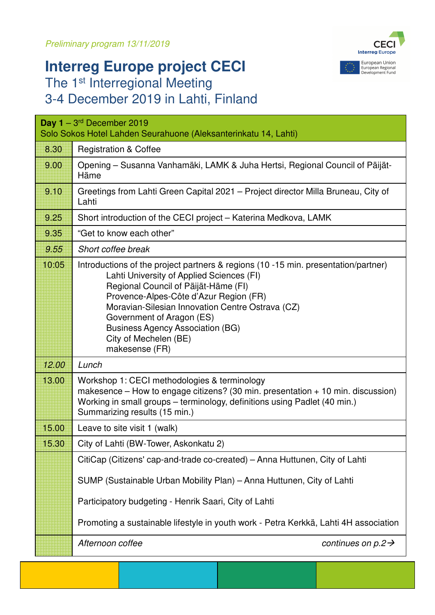## **Interreg Europe project CECI** The 1<sup>st</sup> Interregional Meeting 3-4 December 2019 in Lahti, Finland



| Day $1 - 3$ <sup>rd</sup> December 2019<br>Solo Sokos Hotel Lahden Seurahuone (Aleksanterinkatu 14, Lahti) |                                                                                                                                                                                                                                                                                                                                                                                          |  |
|------------------------------------------------------------------------------------------------------------|------------------------------------------------------------------------------------------------------------------------------------------------------------------------------------------------------------------------------------------------------------------------------------------------------------------------------------------------------------------------------------------|--|
| 8.30                                                                                                       | <b>Registration &amp; Coffee</b>                                                                                                                                                                                                                                                                                                                                                         |  |
| 9.00                                                                                                       | Opening – Susanna Vanhamäki, LAMK & Juha Hertsi, Regional Council of Päijät-<br>Häme                                                                                                                                                                                                                                                                                                     |  |
| 9.10                                                                                                       | Greetings from Lahti Green Capital 2021 – Project director Milla Bruneau, City of<br>Lahti                                                                                                                                                                                                                                                                                               |  |
| 9.25                                                                                                       | Short introduction of the CECI project - Katerina Medkova, LAMK                                                                                                                                                                                                                                                                                                                          |  |
| 9.35                                                                                                       | "Get to know each other"                                                                                                                                                                                                                                                                                                                                                                 |  |
| 9.55                                                                                                       | Short coffee break                                                                                                                                                                                                                                                                                                                                                                       |  |
| 10:05                                                                                                      | Introductions of the project partners & regions (10 -15 min. presentation/partner)<br>Lahti University of Applied Sciences (FI)<br>Regional Council of Päijät-Häme (FI)<br>Provence-Alpes-Côte d'Azur Region (FR)<br>Moravian-Silesian Innovation Centre Ostrava (CZ)<br>Government of Aragon (ES)<br><b>Business Agency Association (BG)</b><br>City of Mechelen (BE)<br>makesense (FR) |  |
| 12.00                                                                                                      | Lunch                                                                                                                                                                                                                                                                                                                                                                                    |  |
| 13.00                                                                                                      | Workshop 1: CECI methodologies & terminology<br>makesence – How to engage citizens? (30 min. presentation $+$ 10 min. discussion)<br>Working in small groups - terminology, definitions using Padlet (40 min.)<br>Summarizing results (15 min.)                                                                                                                                          |  |
| 15.00                                                                                                      | Leave to site visit 1 (walk)                                                                                                                                                                                                                                                                                                                                                             |  |
| 15.30                                                                                                      | City of Lahti (BW-Tower, Askonkatu 2)                                                                                                                                                                                                                                                                                                                                                    |  |
|                                                                                                            | CitiCap (Citizens' cap-and-trade co-created) – Anna Huttunen, City of Lahti                                                                                                                                                                                                                                                                                                              |  |
|                                                                                                            | SUMP (Sustainable Urban Mobility Plan) – Anna Huttunen, City of Lahti                                                                                                                                                                                                                                                                                                                    |  |
|                                                                                                            | Participatory budgeting - Henrik Saari, City of Lahti                                                                                                                                                                                                                                                                                                                                    |  |
|                                                                                                            | Promoting a sustainable lifestyle in youth work - Petra Kerkkä, Lahti 4H association                                                                                                                                                                                                                                                                                                     |  |
|                                                                                                            | Afternoon coffee<br>continues on $p.2 \rightarrow$                                                                                                                                                                                                                                                                                                                                       |  |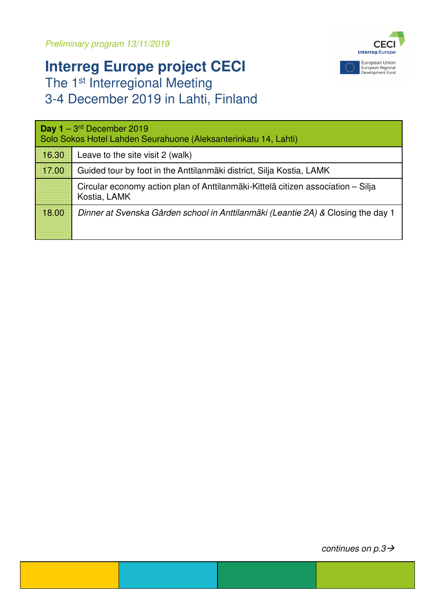Preliminary program 13/11/2019

## **Interreg Europe project CECI**



The 1<sup>st</sup> Interregional Meeting 3-4 December 2019 in Lahti, Finland

| <b>Day 1</b> – $3^{rd}$ December 2019<br>Solo Sokos Hotel Lahden Seurahuone (Aleksanterinkatu 14, Lahti) |                                                                                                  |  |
|----------------------------------------------------------------------------------------------------------|--------------------------------------------------------------------------------------------------|--|
| 16.30                                                                                                    | Leave to the site visit 2 (walk)                                                                 |  |
| 17.00                                                                                                    | Guided tour by foot in the Anttilanmäki district, Silja Kostia, LAMK                             |  |
|                                                                                                          | Circular economy action plan of Anttilanmäki-Kittelä citizen association – Silja<br>Kostia, LAMK |  |
| 18.00                                                                                                    | Dinner at Svenska Gården school in Anttilanmäki (Leantie 2A) & Closing the day 1                 |  |

continues on  $p.3 \rightarrow$